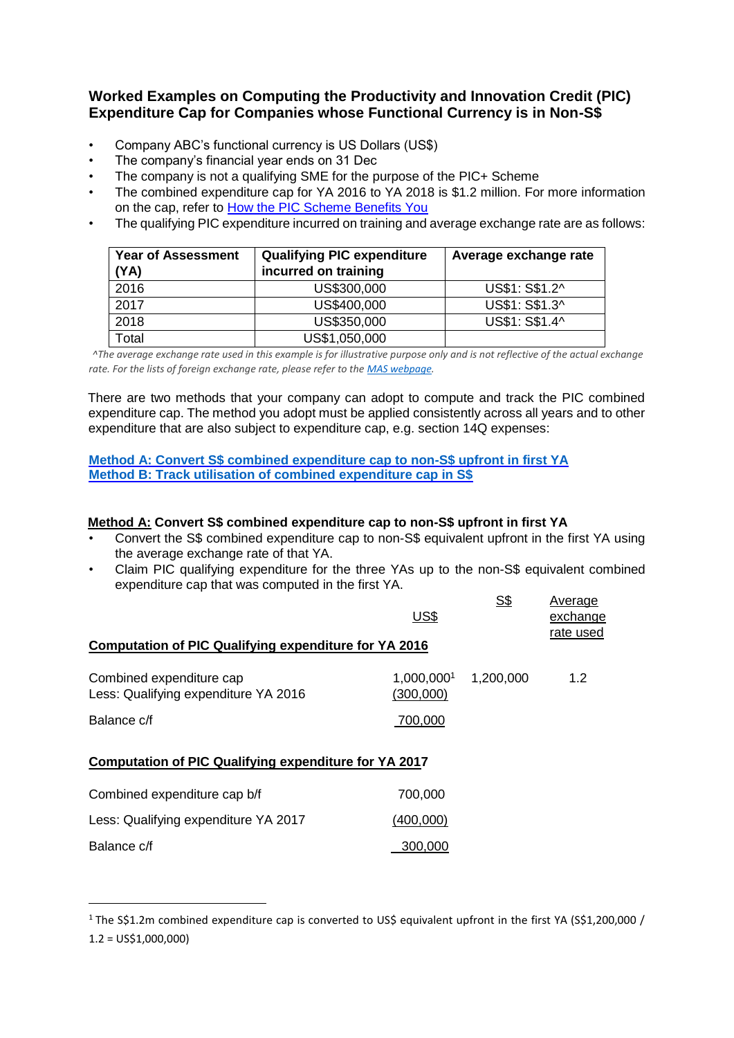# **Worked Examples on Computing the Productivity and Innovation Credit (PIC) Expenditure Cap for Companies whose Functional Currency is in Non-S\$**

- Company ABC's functional currency is US Dollars (US\$)
- The company's financial year ends on 31 Dec
- The company is not a qualifying SME for the purpose of the PIC+ Scheme
- The combined expenditure cap for YA 2016 to YA 2018 is \$1.2 million. For more information on the cap, refer to [How the PIC Scheme Benefits You](https://www.iras.gov.sg/irashome/Schemes/Businesses/Productivity-and-Innovation-Credit-Scheme/How-the-Productivity-and-Innovation-Credit--PIC--Scheme-Benefits-You/)
- The qualifying PIC expenditure incurred on training and average exchange rate are as follows:

| <b>Year of Assessment</b><br>(YA) | <b>Qualifying PIC expenditure</b><br>incurred on training | Average exchange rate |
|-----------------------------------|-----------------------------------------------------------|-----------------------|
| 2016                              | US\$300,000                                               | US\$1: S\$1.2^        |
| 2017                              | US\$400,000                                               | US\$1: S\$1.3^        |
| 2018                              | US\$350,000                                               | US\$1: S\$1.4^        |
| Total                             | US\$1,050,000                                             |                       |

*^The average exchange rate used in this example is for illustrative purpose only and is not reflective of the actual exchange rate. For the lists of foreign exchange rate, please refer to th[e MAS webpage.](https://secure.mas.gov.sg/msb/ExchangeRates.aspx)* 

There are two methods that your company can adopt to compute and track the PIC combined expenditure cap. The method you adopt must be applied consistently across all years and to other expenditure that are also subject to expenditure cap, e.g. section 14Q expenses:

#### **[Method A: Convert S\\$ combined expenditure cap to non-S\\$ upfront in first YA](#page-0-0) [Method B: Track utilisation of combined expenditure cap in S\\$](#page-1-0)**

### <span id="page-0-0"></span>**Method A: Convert S\$ combined expenditure cap to non-S\$ upfront in first YA**

- Convert the S\$ combined expenditure cap to non-S\$ equivalent upfront in the first YA using the average exchange rate of that YA.
- Claim PIC qualifying expenditure for the three YAs up to the non-S\$ equivalent combined expenditure cap that was computed in the first YA.  $\overline{S}$   $\overline{S}$   $\overline{S}$   $\overline{S}$   $\overline{S}$   $\overline{S}$   $\overline{S}$   $\overline{S}$   $\overline{S}$   $\overline{S}$   $\overline{S}$   $\overline{S}$   $\overline{S}$   $\overline{S}$   $\overline{S}$   $\overline{S}$   $\overline{S}$   $\overline{S}$   $\overline{S}$   $\overline{S}$   $\overline{S}$   $\overline{S}$   $\overline{S}$   $\overline{S}$   $\overline{$

|                                                                           | US\$                    | ১৯        | Average<br>exchange |  |  |  |
|---------------------------------------------------------------------------|-------------------------|-----------|---------------------|--|--|--|
| rate used<br><b>Computation of PIC Qualifying expenditure for YA 2016</b> |                         |           |                     |  |  |  |
| Combined expenditure cap<br>Less: Qualifying expenditure YA 2016          | 1,000,0001<br>(300,000) | 1,200,000 | 1.2                 |  |  |  |
| Balance c/f                                                               | 700,000                 |           |                     |  |  |  |
| Computation of PIC Qualifying expenditure for YA 2017                     |                         |           |                     |  |  |  |
| Combined expenditure cap b/f                                              | 700,000                 |           |                     |  |  |  |
| Less: Qualifying expenditure YA 2017                                      | (400,000)               |           |                     |  |  |  |
| Balance c/f                                                               | 300,000                 |           |                     |  |  |  |

-

<sup>&</sup>lt;sup>1</sup> The S\$1.2m combined expenditure cap is converted to US\$ equivalent upfront in the first YA (S\$1,200,000 / 1.2 = US\$1,000,000)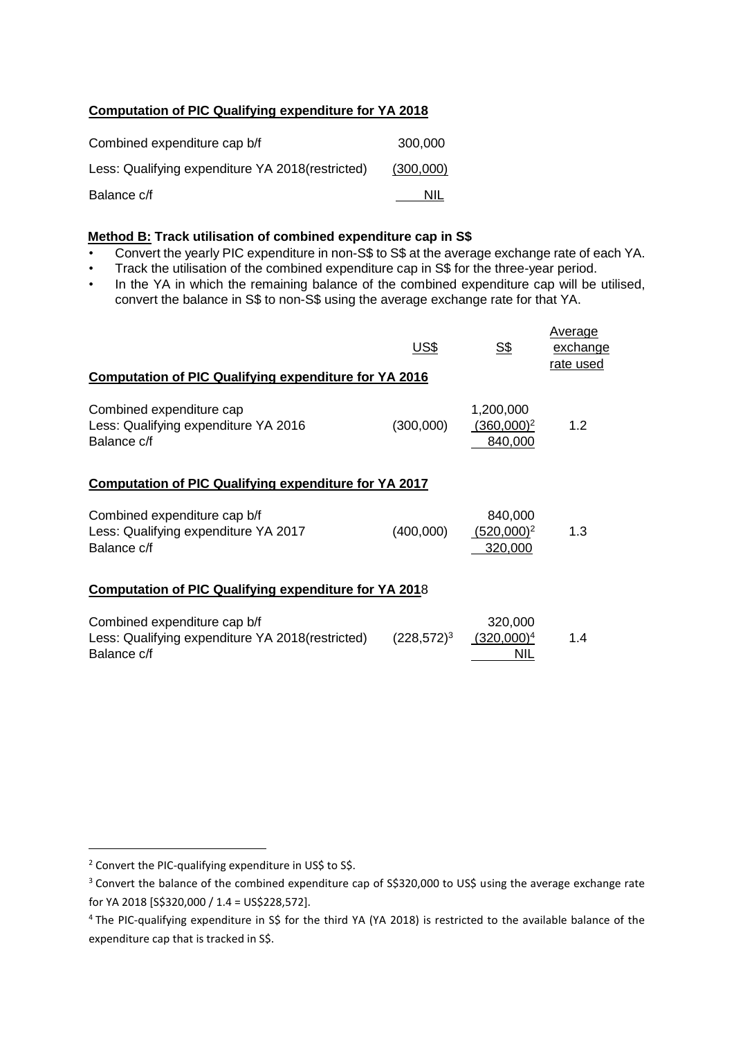## **Computation of PIC Qualifying expenditure for YA 2018**

| Combined expenditure cap b/f                      | 300.000   |
|---------------------------------------------------|-----------|
| Less: Qualifying expenditure YA 2018 (restricted) | (300,000) |
| Balance c/f                                       | NIL       |

### <span id="page-1-0"></span>**Method B: Track utilisation of combined expenditure cap in S\$**

- Convert the yearly PIC expenditure in non-S\$ to S\$ at the average exchange rate of each YA.
- Track the utilisation of the combined expenditure cap in S\$ for the three-year period.
- In the YA in which the remaining balance of the combined expenditure cap will be utilised, convert the balance in S\$ to non-S\$ using the average exchange rate for that YA.

|                                                                                                  | US\$           | <u>S\$</u>                            | Average<br>exchange<br>rate used |
|--------------------------------------------------------------------------------------------------|----------------|---------------------------------------|----------------------------------|
| <b>Computation of PIC Qualifying expenditure for YA 2016</b>                                     |                |                                       |                                  |
| Combined expenditure cap<br>Less: Qualifying expenditure YA 2016<br>Balance c/f                  | (300,000)      | 1,200,000<br>$(360,000)^2$<br>840,000 | 1.2                              |
| <b>Computation of PIC Qualifying expenditure for YA 2017</b>                                     |                |                                       |                                  |
| Combined expenditure cap b/f<br>Less: Qualifying expenditure YA 2017<br>Balance c/f              | (400,000)      | 840,000<br>$(520,000)^2$<br>320,000   | 1.3                              |
| Computation of PIC Qualifying expenditure for YA 2018                                            |                |                                       |                                  |
| Combined expenditure cap b/f<br>Less: Qualifying expenditure YA 2018 (restricted)<br>Balance c/f | $(228, 572)^3$ | 320,000<br>$(320,000)^4$<br>NIL       | 1.4                              |

-

<sup>&</sup>lt;sup>2</sup> Convert the PIC-qualifying expenditure in US\$ to S\$.

<sup>&</sup>lt;sup>3</sup> Convert the balance of the combined expenditure cap of S\$320,000 to US\$ using the average exchange rate for YA 2018 [S\$320,000 / 1.4 = US\$228,572].

<sup>4</sup> The PIC-qualifying expenditure in S\$ for the third YA (YA 2018) is restricted to the available balance of the expenditure cap that is tracked in S\$.